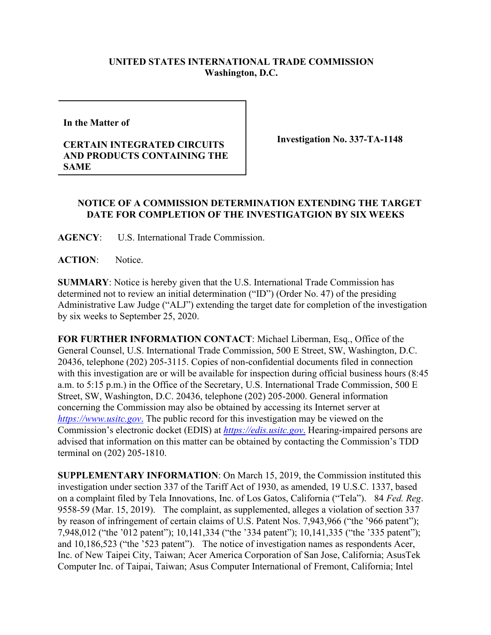## **UNITED STATES INTERNATIONAL TRADE COMMISSION Washington, D.C.**

**In the Matter of** 

## **CERTAIN INTEGRATED CIRCUITS AND PRODUCTS CONTAINING THE SAME**

**Investigation No. 337-TA-1148**

## **NOTICE OF A COMMISSION DETERMINATION EXTENDING THE TARGET DATE FOR COMPLETION OF THE INVESTIGATGION BY SIX WEEKS**

**AGENCY**: U.S. International Trade Commission.

**ACTION**: Notice.

**SUMMARY**: Notice is hereby given that the U.S. International Trade Commission has determined not to review an initial determination ("ID") (Order No. 47) of the presiding Administrative Law Judge ("ALJ") extending the target date for completion of the investigation by six weeks to September 25, 2020.

**FOR FURTHER INFORMATION CONTACT**: Michael Liberman, Esq., Office of the General Counsel, U.S. International Trade Commission, 500 E Street, SW, Washington, D.C. 20436, telephone (202) 205-3115. Copies of non-confidential documents filed in connection with this investigation are or will be available for inspection during official business hours (8:45 a.m. to 5:15 p.m.) in the Office of the Secretary, U.S. International Trade Commission, 500 E Street, SW, Washington, D.C. 20436, telephone (202) 205-2000. General information concerning the Commission may also be obtained by accessing its Internet server at *[https://www.usitc.gov](https://www.usitc.gov./)*. The public record for this investigation may be viewed on the Commission's electronic docket (EDIS) at *[https://edis.usitc.gov](https://edis.usitc.gov./)*. Hearing-impaired persons are advised that information on this matter can be obtained by contacting the Commission's TDD terminal on (202) 205-1810.

**SUPPLEMENTARY INFORMATION**: On March 15, 2019, the Commission instituted this investigation under section 337 of the Tariff Act of 1930, as amended, 19 U.S.C. 1337, based on a complaint filed by Tela Innovations, Inc. of Los Gatos, California ("Tela"). 84 *Fed. Reg*. 9558-59 (Mar. 15, 2019). The complaint, as supplemented, alleges a violation of section 337 by reason of infringement of certain claims of U.S. Patent Nos. 7,943,966 ("the '966 patent"); 7,948,012 ("the '012 patent"); 10,141,334 ("the '334 patent"); 10,141,335 ("the '335 patent"); and 10,186,523 ("the '523 patent"). The notice of investigation names as respondents Acer, Inc. of New Taipei City, Taiwan; Acer America Corporation of San Jose, California; AsusTek Computer Inc. of Taipai, Taiwan; Asus Computer International of Fremont, California; Intel